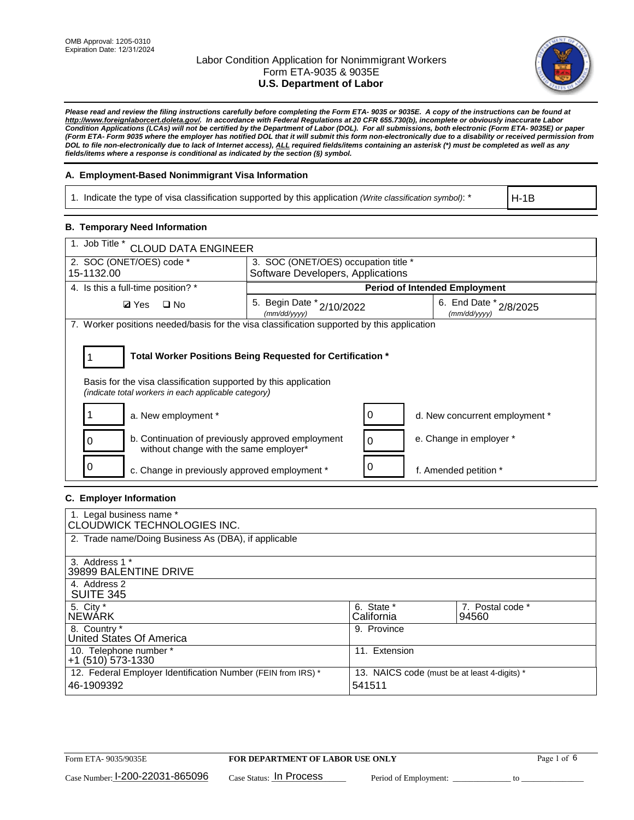

*Please read and review the filing instructions carefully before completing the Form ETA- 9035 or 9035E. A copy of the instructions can be found at [http://www.foreignlaborcert.doleta.gov/.](http://www.foreignlaborcert.doleta.gov/) In accordance with Federal Regulations at 20 CFR 655.730(b), incomplete or obviously inaccurate Labor Condition Applications (LCAs) will not be certified by the Department of Labor (DOL). For all submissions, both electronic (Form ETA- 9035E) or paper (Form ETA- Form 9035 where the employer has notified DOL that it will submit this form non-electronically due to a disability or received permission from DOL to file non-electronically due to lack of Internet access), ALL required fields/items containing an asterisk (\*) must be completed as well as any fields/items where a response is conditional as indicated by the section (§) symbol.* 

### **A. Employment-Based Nonimmigrant Visa Information**

1. Indicate the type of visa classification supported by this application *(Write classification symbol)*: \*

H-1B

### **B. Temporary Need Information**

| 1. Job Title *<br><b>CLOUD DATA ENGINEER</b>                                                                                                                                          |                                               |                                        |  |  |  |
|---------------------------------------------------------------------------------------------------------------------------------------------------------------------------------------|-----------------------------------------------|----------------------------------------|--|--|--|
| 2. SOC (ONET/OES) code *                                                                                                                                                              | 3. SOC (ONET/OES) occupation title *          |                                        |  |  |  |
| 15-1132.00                                                                                                                                                                            | Software Developers, Applications             |                                        |  |  |  |
| 4. Is this a full-time position? *                                                                                                                                                    | <b>Period of Intended Employment</b>          |                                        |  |  |  |
| $\square$ No<br><b>Ø</b> Yes                                                                                                                                                          | 5. Begin Date $x^*$ 2/10/2022<br>(mm/dd/yyyy) | 6. End Date * 2/8/2025<br>(mm/dd/vvvv) |  |  |  |
| 7. Worker positions needed/basis for the visa classification supported by this application                                                                                            |                                               |                                        |  |  |  |
| Total Worker Positions Being Requested for Certification *<br>Basis for the visa classification supported by this application<br>(indicate total workers in each applicable category) |                                               |                                        |  |  |  |
| a. New employment *                                                                                                                                                                   |                                               | 0<br>d. New concurrent employment *    |  |  |  |
| b. Continuation of previously approved employment<br>without change with the same employer*                                                                                           |                                               | e. Change in employer *<br>0           |  |  |  |
| c. Change in previously approved employment *                                                                                                                                         |                                               | f. Amended petition *                  |  |  |  |

### **C. Employer Information**

| 1. Legal business name *<br>CLOUDWICK TECHNOLOGIES INC.                                                                              |                          |                           |  |
|--------------------------------------------------------------------------------------------------------------------------------------|--------------------------|---------------------------|--|
| 2. Trade name/Doing Business As (DBA), if applicable                                                                                 |                          |                           |  |
| 3. Address 1 *<br>39899 BALENTINE DRIVE                                                                                              |                          |                           |  |
| 4. Address 2<br><b>SUITE 345</b>                                                                                                     |                          |                           |  |
| 5. City *<br><b>NEWARK</b>                                                                                                           | 6. State *<br>California | 7. Postal code *<br>94560 |  |
| 8. Country *<br>United States Of America                                                                                             | 9. Province              |                           |  |
| 10. Telephone number *<br>$+1$ (510) 573-1330                                                                                        | 11. Extension            |                           |  |
| 12. Federal Employer Identification Number (FEIN from IRS) *<br>13. NAICS code (must be at least 4-digits) *<br>541511<br>46-1909392 |                          |                           |  |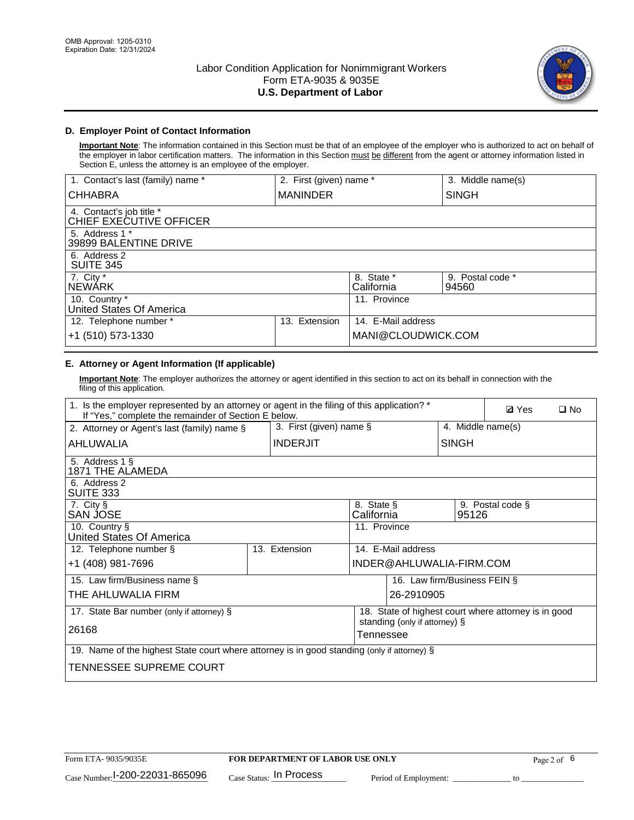

## **D. Employer Point of Contact Information**

**Important Note**: The information contained in this Section must be that of an employee of the employer who is authorized to act on behalf of the employer in labor certification matters. The information in this Section must be different from the agent or attorney information listed in Section E, unless the attorney is an employee of the employer.

| 1. Contact's last (family) name *                   | 2. First (given) name * |                          | 3. Middle name(s)         |
|-----------------------------------------------------|-------------------------|--------------------------|---------------------------|
| <b>CHHABRA</b>                                      | <b>MANINDER</b>         |                          | <b>SINGH</b>              |
| 4. Contact's job title *<br>CHIEF EXECUTIVE OFFICER |                         |                          |                           |
| 5. Address 1 *<br>39899 BALENTINE DRIVE             |                         |                          |                           |
| 6. Address 2<br><b>SUITE 345</b>                    |                         |                          |                           |
| 7. City *<br><b>NEWÁRK</b>                          |                         | 8. State *<br>California | 9. Postal code *<br>94560 |
| 10. Country *<br>United States Of America           |                         | 11. Province             |                           |
| 12. Telephone number *                              | Extension<br>13.        | 14. E-Mail address       |                           |
| +1 (510) 573-1330                                   |                         | MANI@CLOUDWICK.COM       |                           |

## **E. Attorney or Agent Information (If applicable)**

**Important Note**: The employer authorizes the attorney or agent identified in this section to act on its behalf in connection with the filing of this application.

| 1. Is the employer represented by an attorney or agent in the filing of this application? *<br>If "Yes," complete the remainder of Section E below. |               |                 |                    |                               |                   | <b>Ø</b> Yes                                         | $\Box$ No |
|-----------------------------------------------------------------------------------------------------------------------------------------------------|---------------|-----------------|--------------------|-------------------------------|-------------------|------------------------------------------------------|-----------|
| 3. First (given) name $\S$<br>2. Attorney or Agent's last (family) name §                                                                           |               |                 |                    |                               | 4. Middle name(s) |                                                      |           |
| AHLUWALIA                                                                                                                                           |               | <b>INDERJIT</b> |                    |                               | <b>SINGH</b>      |                                                      |           |
| 5. Address 1 §<br>1871 THE ALAMEDA                                                                                                                  |               |                 |                    |                               |                   |                                                      |           |
| 6. Address 2<br>SUITE 333                                                                                                                           |               |                 |                    |                               |                   |                                                      |           |
| 7. City §<br>8. State §<br>SAN JOSE<br>California                                                                                                   |               |                 |                    |                               | 95126             | 9. Postal code §                                     |           |
| 10. Country §<br>United States Of America                                                                                                           |               |                 | 11. Province       |                               |                   |                                                      |           |
| 12. Telephone number §                                                                                                                              | 13. Extension |                 | 14. E-Mail address |                               |                   |                                                      |           |
| +1 (408) 981-7696                                                                                                                                   |               |                 |                    | INDER@AHLUWALIA-FIRM.COM      |                   |                                                      |           |
| 15. Law firm/Business name §                                                                                                                        |               |                 |                    | 16. Law firm/Business FEIN §  |                   |                                                      |           |
| THE AHLUWALIA FIRM                                                                                                                                  |               |                 |                    | 26-2910905                    |                   |                                                      |           |
| 17. State Bar number (only if attorney) §                                                                                                           |               |                 |                    |                               |                   | 18. State of highest court where attorney is in good |           |
| 26168                                                                                                                                               |               |                 | Tennessee          | standing (only if attorney) § |                   |                                                      |           |
| 19. Name of the highest State court where attorney is in good standing (only if attorney) §                                                         |               |                 |                    |                               |                   |                                                      |           |
| TENNESSEE SUPREME COURT                                                                                                                             |               |                 |                    |                               |                   |                                                      |           |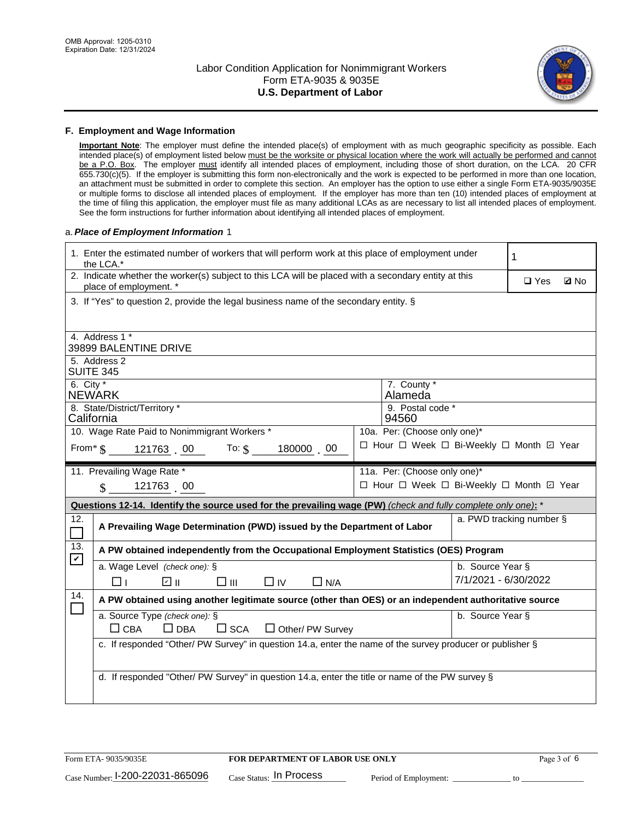

#### **F. Employment and Wage Information**

**Important Note**: The employer must define the intended place(s) of employment with as much geographic specificity as possible. Each intended place(s) of employment listed below must be the worksite or physical location where the work will actually be performed and cannot be a P.O. Box. The employer must identify all intended places of employment, including those of short duration, on the LCA. 20 CFR 655.730(c)(5). If the employer is submitting this form non-electronically and the work is expected to be performed in more than one location, an attachment must be submitted in order to complete this section. An employer has the option to use either a single Form ETA-9035/9035E or multiple forms to disclose all intended places of employment. If the employer has more than ten (10) intended places of employment at the time of filing this application, the employer must file as many additional LCAs as are necessary to list all intended places of employment. See the form instructions for further information about identifying all intended places of employment.

#### a.*Place of Employment Information* 1

|                    | 1. Enter the estimated number of workers that will perform work at this place of employment under<br>the LCA.*                 |  | 1                                        |                      |                          |             |  |  |
|--------------------|--------------------------------------------------------------------------------------------------------------------------------|--|------------------------------------------|----------------------|--------------------------|-------------|--|--|
|                    | 2. Indicate whether the worker(s) subject to this LCA will be placed with a secondary entity at this<br>place of employment. * |  |                                          |                      |                          | <b>Q</b> No |  |  |
|                    | 3. If "Yes" to question 2, provide the legal business name of the secondary entity. §                                          |  |                                          |                      |                          |             |  |  |
|                    |                                                                                                                                |  |                                          |                      |                          |             |  |  |
|                    | 4. Address 1 *<br>39899 BALENTINE DRIVE                                                                                        |  |                                          |                      |                          |             |  |  |
|                    | 5. Address 2                                                                                                                   |  |                                          |                      |                          |             |  |  |
|                    | <b>SUITE 345</b>                                                                                                               |  |                                          |                      |                          |             |  |  |
| 6. City $*$        | <b>NEWARK</b>                                                                                                                  |  | 7. County *<br>Alameda                   |                      |                          |             |  |  |
|                    | 8. State/District/Territory *                                                                                                  |  | 9. Postal code *                         |                      |                          |             |  |  |
|                    | California                                                                                                                     |  | 94560                                    |                      |                          |             |  |  |
|                    | 10. Wage Rate Paid to Nonimmigrant Workers *                                                                                   |  | 10a. Per: (Choose only one)*             |                      |                          |             |  |  |
|                    | □ Hour □ Week □ Bi-Weekly □ Month ☑ Year<br>From* \$121763 00 To: \$<br>180000 00                                              |  |                                          |                      |                          |             |  |  |
|                    | 11. Prevailing Wage Rate *                                                                                                     |  | 11a. Per: (Choose only one)*             |                      |                          |             |  |  |
|                    | 121763 00<br>$\mathbf{\hat{s}}$                                                                                                |  | □ Hour □ Week □ Bi-Weekly □ Month ☑ Year |                      |                          |             |  |  |
|                    | Questions 12-14. Identify the source used for the prevailing wage (PW) (check and fully complete only one): *                  |  |                                          |                      |                          |             |  |  |
| 12.<br>$\Box$      | A Prevailing Wage Determination (PWD) issued by the Department of Labor                                                        |  |                                          |                      | a. PWD tracking number § |             |  |  |
| 13.<br>$\mathbf v$ | A PW obtained independently from the Occupational Employment Statistics (OES) Program                                          |  |                                          |                      |                          |             |  |  |
|                    | a. Wage Level (check one): §                                                                                                   |  |                                          | b. Source Year §     |                          |             |  |  |
|                    | ∥ ⊡<br>$\square$ $\square$<br>⊓⊥<br>$\Box$ IV<br>$\Box$ N/A                                                                    |  |                                          | 7/1/2021 - 6/30/2022 |                          |             |  |  |
| 14.                | A PW obtained using another legitimate source (other than OES) or an independent authoritative source                          |  |                                          |                      |                          |             |  |  |
|                    | a. Source Type (check one): §                                                                                                  |  |                                          | b. Source Year §     |                          |             |  |  |
|                    | $\Box$ CBA<br>$\Box$ DBA<br>$\square$ SCA<br>$\Box$ Other/ PW Survey                                                           |  |                                          |                      |                          |             |  |  |
|                    | c. If responded "Other/ PW Survey" in question 14.a, enter the name of the survey producer or publisher §                      |  |                                          |                      |                          |             |  |  |
|                    |                                                                                                                                |  |                                          |                      |                          |             |  |  |
|                    | d. If responded "Other/ PW Survey" in question 14.a, enter the title or name of the PW survey §                                |  |                                          |                      |                          |             |  |  |
|                    |                                                                                                                                |  |                                          |                      |                          |             |  |  |
|                    |                                                                                                                                |  |                                          |                      |                          |             |  |  |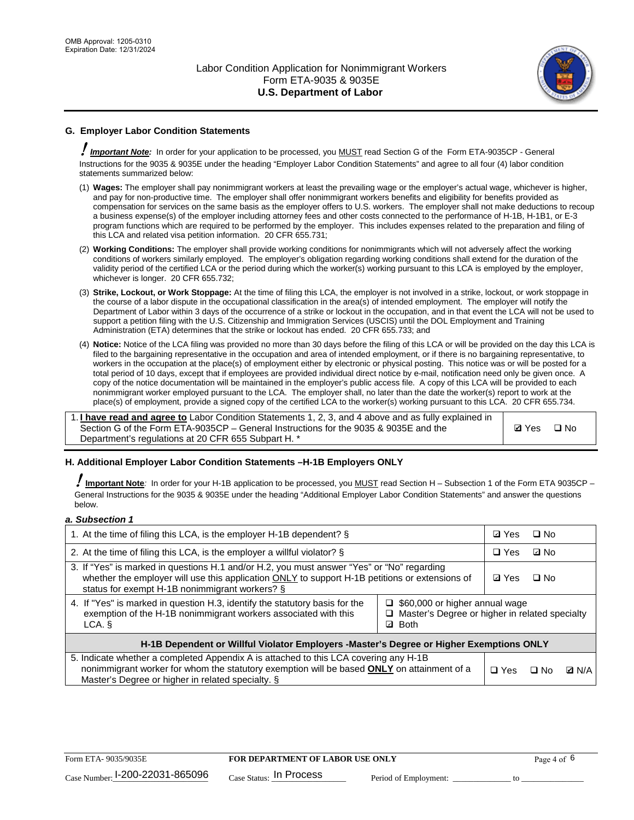

## **G. Employer Labor Condition Statements**

! *Important Note:* In order for your application to be processed, you MUST read Section G of the Form ETA-9035CP - General Instructions for the 9035 & 9035E under the heading "Employer Labor Condition Statements" and agree to all four (4) labor condition statements summarized below:

- (1) **Wages:** The employer shall pay nonimmigrant workers at least the prevailing wage or the employer's actual wage, whichever is higher, and pay for non-productive time. The employer shall offer nonimmigrant workers benefits and eligibility for benefits provided as compensation for services on the same basis as the employer offers to U.S. workers. The employer shall not make deductions to recoup a business expense(s) of the employer including attorney fees and other costs connected to the performance of H-1B, H-1B1, or E-3 program functions which are required to be performed by the employer. This includes expenses related to the preparation and filing of this LCA and related visa petition information. 20 CFR 655.731;
- (2) **Working Conditions:** The employer shall provide working conditions for nonimmigrants which will not adversely affect the working conditions of workers similarly employed. The employer's obligation regarding working conditions shall extend for the duration of the validity period of the certified LCA or the period during which the worker(s) working pursuant to this LCA is employed by the employer, whichever is longer. 20 CFR 655.732;
- (3) **Strike, Lockout, or Work Stoppage:** At the time of filing this LCA, the employer is not involved in a strike, lockout, or work stoppage in the course of a labor dispute in the occupational classification in the area(s) of intended employment. The employer will notify the Department of Labor within 3 days of the occurrence of a strike or lockout in the occupation, and in that event the LCA will not be used to support a petition filing with the U.S. Citizenship and Immigration Services (USCIS) until the DOL Employment and Training Administration (ETA) determines that the strike or lockout has ended. 20 CFR 655.733; and
- (4) **Notice:** Notice of the LCA filing was provided no more than 30 days before the filing of this LCA or will be provided on the day this LCA is filed to the bargaining representative in the occupation and area of intended employment, or if there is no bargaining representative, to workers in the occupation at the place(s) of employment either by electronic or physical posting. This notice was or will be posted for a total period of 10 days, except that if employees are provided individual direct notice by e-mail, notification need only be given once. A copy of the notice documentation will be maintained in the employer's public access file. A copy of this LCA will be provided to each nonimmigrant worker employed pursuant to the LCA. The employer shall, no later than the date the worker(s) report to work at the place(s) of employment, provide a signed copy of the certified LCA to the worker(s) working pursuant to this LCA. 20 CFR 655.734.

1. **I have read and agree to** Labor Condition Statements 1, 2, 3, and 4 above and as fully explained in Section G of the Form ETA-9035CP – General Instructions for the 9035 & 9035E and the Department's regulations at 20 CFR 655 Subpart H. \*

**Ø**Yes ロNo

### **H. Additional Employer Labor Condition Statements –H-1B Employers ONLY**

!**Important Note***:* In order for your H-1B application to be processed, you MUST read Section H – Subsection 1 of the Form ETA 9035CP – General Instructions for the 9035 & 9035E under the heading "Additional Employer Labor Condition Statements" and answer the questions below.

#### *a. Subsection 1*

| 1. At the time of filing this LCA, is the employer H-1B dependent? §                                                                                                                                                                                                      |  |  | $\square$ No |              |  |
|---------------------------------------------------------------------------------------------------------------------------------------------------------------------------------------------------------------------------------------------------------------------------|--|--|--------------|--------------|--|
| 2. At the time of filing this LCA, is the employer a willful violator? $\S$                                                                                                                                                                                               |  |  | ⊡ No         |              |  |
| 3. If "Yes" is marked in questions H.1 and/or H.2, you must answer "Yes" or "No" regarding<br>whether the employer will use this application ONLY to support H-1B petitions or extensions of<br>status for exempt H-1B nonimmigrant workers? §                            |  |  | $\Box$ No    |              |  |
| 4. If "Yes" is marked in question H.3, identify the statutory basis for the<br>$\Box$ \$60,000 or higher annual wage<br>exemption of the H-1B nonimmigrant workers associated with this<br>□ Master's Degree or higher in related specialty<br><b>Both</b><br>LCA. §<br>☑ |  |  |              |              |  |
| H-1B Dependent or Willful Violator Employers -Master's Degree or Higher Exemptions ONLY                                                                                                                                                                                   |  |  |              |              |  |
| 5. Indicate whether a completed Appendix A is attached to this LCA covering any H-1B<br>nonimmigrant worker for whom the statutory exemption will be based <b>ONLY</b> on attainment of a<br>Master's Degree or higher in related specialty. §                            |  |  | ⊟ No         | <b>Q</b> N/A |  |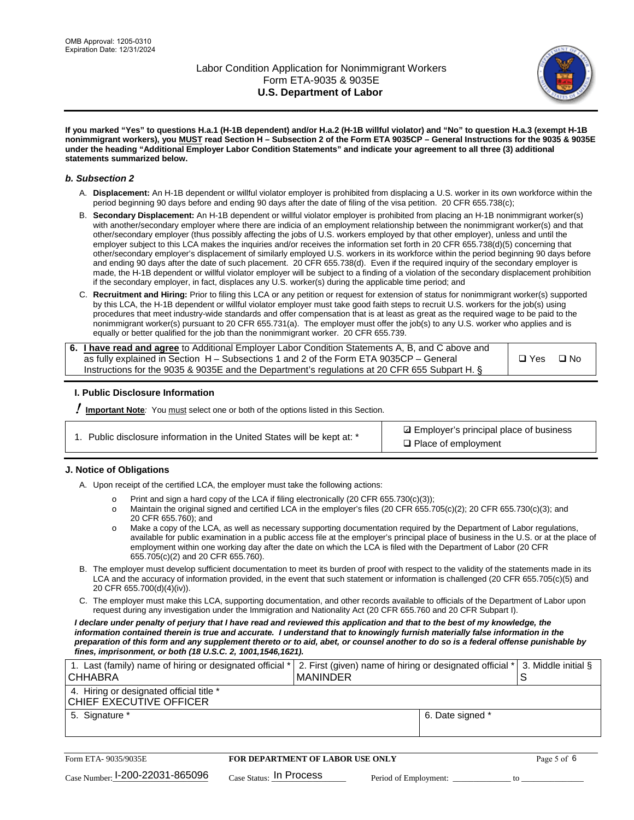

**If you marked "Yes" to questions H.a.1 (H-1B dependent) and/or H.a.2 (H-1B willful violator) and "No" to question H.a.3 (exempt H-1B nonimmigrant workers), you MUST read Section H – Subsection 2 of the Form ETA 9035CP – General Instructions for the 9035 & 9035E under the heading "Additional Employer Labor Condition Statements" and indicate your agreement to all three (3) additional statements summarized below.**

#### *b. Subsection 2*

- A. **Displacement:** An H-1B dependent or willful violator employer is prohibited from displacing a U.S. worker in its own workforce within the period beginning 90 days before and ending 90 days after the date of filing of the visa petition. 20 CFR 655.738(c);
- B. **Secondary Displacement:** An H-1B dependent or willful violator employer is prohibited from placing an H-1B nonimmigrant worker(s) with another/secondary employer where there are indicia of an employment relationship between the nonimmigrant worker(s) and that other/secondary employer (thus possibly affecting the jobs of U.S. workers employed by that other employer), unless and until the employer subject to this LCA makes the inquiries and/or receives the information set forth in 20 CFR 655.738(d)(5) concerning that other/secondary employer's displacement of similarly employed U.S. workers in its workforce within the period beginning 90 days before and ending 90 days after the date of such placement. 20 CFR 655.738(d). Even if the required inquiry of the secondary employer is made, the H-1B dependent or willful violator employer will be subject to a finding of a violation of the secondary displacement prohibition if the secondary employer, in fact, displaces any U.S. worker(s) during the applicable time period; and
- C. **Recruitment and Hiring:** Prior to filing this LCA or any petition or request for extension of status for nonimmigrant worker(s) supported by this LCA, the H-1B dependent or willful violator employer must take good faith steps to recruit U.S. workers for the job(s) using procedures that meet industry-wide standards and offer compensation that is at least as great as the required wage to be paid to the nonimmigrant worker(s) pursuant to 20 CFR 655.731(a). The employer must offer the job(s) to any U.S. worker who applies and is equally or better qualified for the job than the nonimmigrant worker. 20 CFR 655.739.

| 6. I have read and agree to Additional Employer Labor Condition Statements A, B, and C above and |       |           |
|--------------------------------------------------------------------------------------------------|-------|-----------|
| as fully explained in Section H – Subsections 1 and 2 of the Form ETA 9035CP – General           | □ Yes | $\Box$ No |
| Instructions for the 9035 & 9035E and the Department's regulations at 20 CFR 655 Subpart H. §    |       |           |

### **I. Public Disclosure Information**

! **Important Note***:* You must select one or both of the options listed in this Section.

| 1. Public disclosure information in the United States will be kept at: * |  |  |  |  |  |  |
|--------------------------------------------------------------------------|--|--|--|--|--|--|
|--------------------------------------------------------------------------|--|--|--|--|--|--|

**sqrt** Employer's principal place of business □ Place of employment

### **J. Notice of Obligations**

A. Upon receipt of the certified LCA, the employer must take the following actions:

- o Print and sign a hard copy of the LCA if filing electronically (20 CFR 655.730(c)(3));<br>
Maintain the original signed and certified LCA in the employer's files (20 CFR 655.7
- Maintain the original signed and certified LCA in the employer's files (20 CFR 655.705(c)(2); 20 CFR 655.730(c)(3); and 20 CFR 655.760); and
- o Make a copy of the LCA, as well as necessary supporting documentation required by the Department of Labor regulations, available for public examination in a public access file at the employer's principal place of business in the U.S. or at the place of employment within one working day after the date on which the LCA is filed with the Department of Labor (20 CFR 655.705(c)(2) and 20 CFR 655.760).
- B. The employer must develop sufficient documentation to meet its burden of proof with respect to the validity of the statements made in its LCA and the accuracy of information provided, in the event that such statement or information is challenged (20 CFR 655.705(c)(5) and 20 CFR 655.700(d)(4)(iv)).
- C. The employer must make this LCA, supporting documentation, and other records available to officials of the Department of Labor upon request during any investigation under the Immigration and Nationality Act (20 CFR 655.760 and 20 CFR Subpart I).

*I declare under penalty of perjury that I have read and reviewed this application and that to the best of my knowledge, the*  information contained therein is true and accurate. I understand that to knowingly furnish materially false information in the *preparation of this form and any supplement thereto or to aid, abet, or counsel another to do so is a federal offense punishable by fines, imprisonment, or both (18 U.S.C. 2, 1001,1546,1621).*

| 1. Last (family) name of hiring or designated official * 2. First (given) name of hiring or designated official * 3. Middle initial §<br><b>CHHABRA</b> | I MANINDER |                  |  |
|---------------------------------------------------------------------------------------------------------------------------------------------------------|------------|------------------|--|
| 4. Hiring or designated official title *<br>CHIEF EXECUTIVE OFFICER                                                                                     |            |                  |  |
| 5. Signature *                                                                                                                                          |            | 6. Date signed * |  |